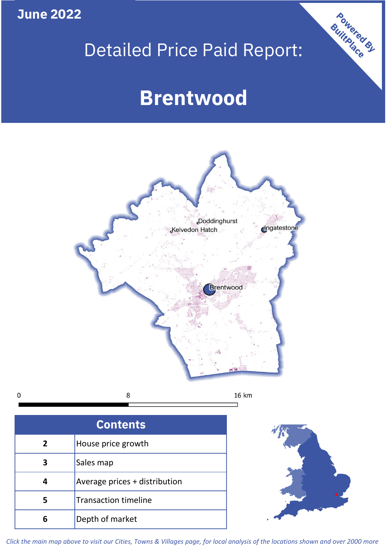**June 2022**

# Detailed Price Paid Report:

# **Brentwood**



 $\mathbf 0$ 

| <b>Contents</b> |                               |  |  |
|-----------------|-------------------------------|--|--|
| 2               | House price growth            |  |  |
|                 | Sales map                     |  |  |
|                 | Average prices + distribution |  |  |
|                 | <b>Transaction timeline</b>   |  |  |
| 6               | Depth of market               |  |  |



Powered By

*Click the main map above to visit our Cities, Towns & Villages page, for local analysis of the locations shown and over 2000 more*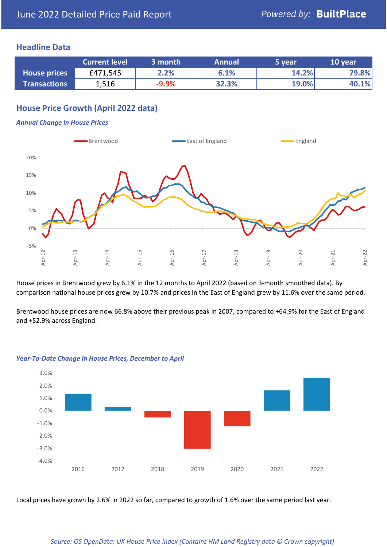### **Headline Data**

|                     | <b>Current level</b> | 3 month | <b>Annual</b> | 5 year | 10 year |
|---------------------|----------------------|---------|---------------|--------|---------|
| <b>House prices</b> | £471,545             | 2.2%    | 6.1%          | 14.2%  | 79.8%   |
| <b>Transactions</b> | 1,516                | $-9.9%$ | 32.3%         | 19.0%  | 40.1%   |

# **House Price Growth (April 2022 data)**

#### *Annual Change in House Prices*



House prices in Brentwood grew by 6.1% in the 12 months to April 2022 (based on 3-month smoothed data). By comparison national house prices grew by 10.7% and prices in the East of England grew by 11.6% over the same period.

Brentwood house prices are now 66.8% above their previous peak in 2007, compared to +64.9% for the East of England and +52.9% across England.



#### *Year-To-Date Change in House Prices, December to April*

Local prices have grown by 2.6% in 2022 so far, compared to growth of 1.6% over the same period last year.

#### *Source: OS OpenData; UK House Price Index (Contains HM Land Registry data © Crown copyright)*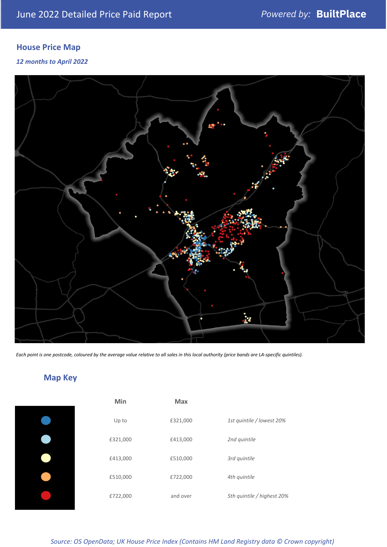# **House Price Map**

*12 months to April 2022*



*Each point is one postcode, coloured by the average value relative to all sales in this local authority (price bands are LA-specific quintiles).*

**Map Key**

| Min      | <b>Max</b> |                            |
|----------|------------|----------------------------|
| Up to    | £321,000   | 1st quintile / lowest 20%  |
| £321,000 | £413,000   | 2nd quintile               |
| £413,000 | £510,000   | 3rd quintile               |
| £510,000 | £722,000   | 4th quintile               |
| £722,000 | and over   | 5th quintile / highest 20% |

*Source: OS OpenData; UK House Price Index (Contains HM Land Registry data © Crown copyright)*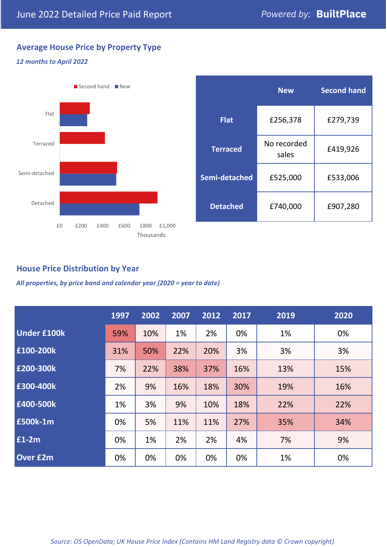# **Average House Price by Property Type**

#### *12 months to April 2022*



|                 | <b>New</b>           | <b>Second hand</b> |  |  |
|-----------------|----------------------|--------------------|--|--|
| <b>Flat</b>     | £256,378             | £279,739           |  |  |
| <b>Terraced</b> | No recorded<br>sales | £419,926           |  |  |
| Semi-detached   | £525,000             | £533,006           |  |  |
| <b>Detached</b> | £740,000             | £907,280           |  |  |

# **House Price Distribution by Year**

*All properties, by price band and calendar year (2020 = year to date)*

|                    | 1997 | 2002 | 2007 | 2012 | 2017 | 2019 | 2020 |
|--------------------|------|------|------|------|------|------|------|
| <b>Under £100k</b> | 59%  | 10%  | 1%   | 2%   | 0%   | 1%   | 0%   |
| £100-200k          | 31%  | 50%  | 22%  | 20%  | 3%   | 3%   | 3%   |
| E200-300k          | 7%   | 22%  | 38%  | 37%  | 16%  | 13%  | 15%  |
| £300-400k          | 2%   | 9%   | 16%  | 18%  | 30%  | 19%  | 16%  |
| £400-500k          | 1%   | 3%   | 9%   | 10%  | 18%  | 22%  | 22%  |
| <b>£500k-1m</b>    | 0%   | 5%   | 11%  | 11%  | 27%  | 35%  | 34%  |
| £1-2m              | 0%   | 1%   | 2%   | 2%   | 4%   | 7%   | 9%   |
| <b>Over £2m</b>    | 0%   | 0%   | 0%   | 0%   | 0%   | 1%   | 0%   |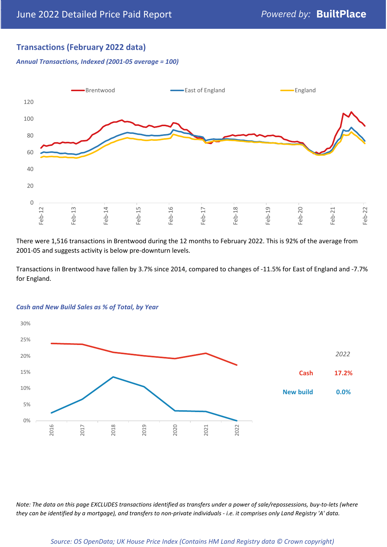# **Transactions (February 2022 data)**

*Annual Transactions, Indexed (2001-05 average = 100)*



There were 1,516 transactions in Brentwood during the 12 months to February 2022. This is 92% of the average from 2001-05 and suggests activity is below pre-downturn levels.

Transactions in Brentwood have fallen by 3.7% since 2014, compared to changes of -11.5% for East of England and -7.7% for England.



#### *Cash and New Build Sales as % of Total, by Year*

*Note: The data on this page EXCLUDES transactions identified as transfers under a power of sale/repossessions, buy-to-lets (where they can be identified by a mortgage), and transfers to non-private individuals - i.e. it comprises only Land Registry 'A' data.*